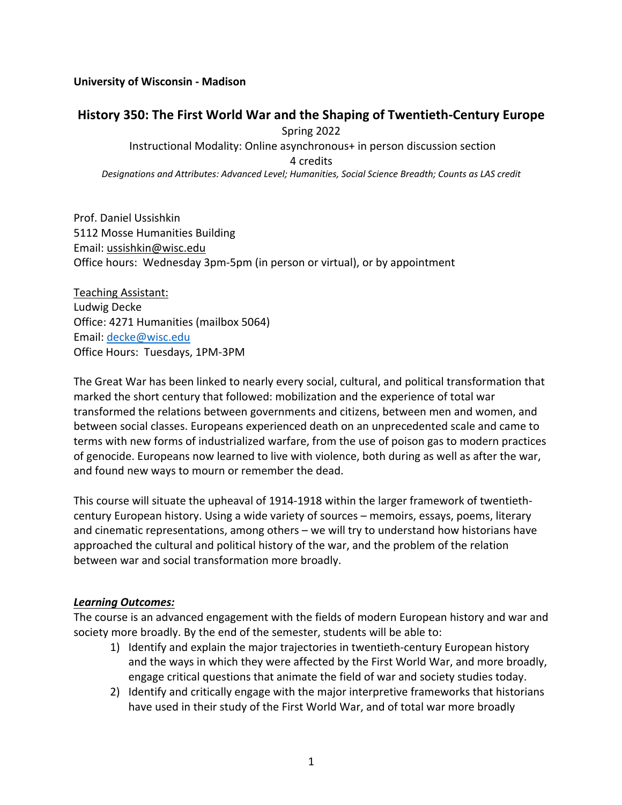#### **University of Wisconsin - Madison**

#### **History 350: The First World War and the Shaping of Twentieth-Century Europe**

Spring 2022

Instructional Modality: Online asynchronous+ in person discussion section

4 credits

*Designations and Attributes: Advanced Level; Humanities, Social Science Breadth; Counts as LAS credit*

Prof. Daniel Ussishkin 5112 Mosse Humanities Building Email: ussishkin@wisc.edu Office hours: Wednesday 3pm-5pm (in person or virtual), or by appointment

Teaching Assistant: Ludwig Decke Office: 4271 Humanities (mailbox 5064) Email: decke@wisc.edu Office Hours: Tuesdays, 1PM-3PM

The Great War has been linked to nearly every social, cultural, and political transformation that marked the short century that followed: mobilization and the experience of total war transformed the relations between governments and citizens, between men and women, and between social classes. Europeans experienced death on an unprecedented scale and came to terms with new forms of industrialized warfare, from the use of poison gas to modern practices of genocide. Europeans now learned to live with violence, both during as well as after the war, and found new ways to mourn or remember the dead.

This course will situate the upheaval of 1914-1918 within the larger framework of twentiethcentury European history. Using a wide variety of sources – memoirs, essays, poems, literary and cinematic representations, among others – we will try to understand how historians have approached the cultural and political history of the war, and the problem of the relation between war and social transformation more broadly.

#### *Learning Outcomes:*

The course is an advanced engagement with the fields of modern European history and war and society more broadly. By the end of the semester, students will be able to:

- 1) Identify and explain the major trajectories in twentieth-century European history and the ways in which they were affected by the First World War, and more broadly, engage critical questions that animate the field of war and society studies today.
- 2) Identify and critically engage with the major interpretive frameworks that historians have used in their study of the First World War, and of total war more broadly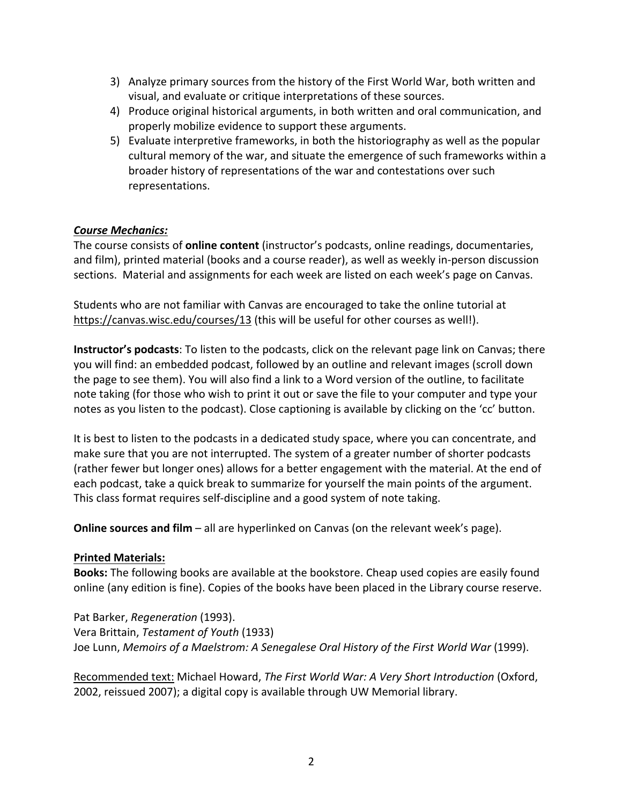- 3) Analyze primary sources from the history of the First World War, both written and visual, and evaluate or critique interpretations of these sources.
- 4) Produce original historical arguments, in both written and oral communication, and properly mobilize evidence to support these arguments.
- 5) Evaluate interpretive frameworks, in both the historiography as well as the popular cultural memory of the war, and situate the emergence of such frameworks within a broader history of representations of the war and contestations over such representations.

#### *Course Mechanics:*

The course consists of **online content** (instructor's podcasts, online readings, documentaries, and film), printed material (books and a course reader), as well as weekly in-person discussion sections. Material and assignments for each week are listed on each week's page on Canvas.

Students who are not familiar with Canvas are encouraged to take the online tutorial at https://canvas.wisc.edu/courses/13 (this will be useful for other courses as well!).

**Instructor's podcasts**: To listen to the podcasts, click on the relevant page link on Canvas; there you will find: an embedded podcast, followed by an outline and relevant images (scroll down the page to see them). You will also find a link to a Word version of the outline, to facilitate note taking (for those who wish to print it out or save the file to your computer and type your notes as you listen to the podcast). Close captioning is available by clicking on the 'cc' button.

It is best to listen to the podcasts in a dedicated study space, where you can concentrate, and make sure that you are not interrupted. The system of a greater number of shorter podcasts (rather fewer but longer ones) allows for a better engagement with the material. At the end of each podcast, take a quick break to summarize for yourself the main points of the argument. This class format requires self-discipline and a good system of note taking.

**Online sources and film** – all are hyperlinked on Canvas (on the relevant week's page).

#### **Printed Materials:**

**Books:** The following books are available at the bookstore. Cheap used copies are easily found online (any edition is fine). Copies of the books have been placed in the Library course reserve.

Pat Barker, *Regeneration* (1993). Vera Brittain, *Testament of Youth* (1933) Joe Lunn, *Memoirs of a Maelstrom: A Senegalese Oral History of the First World War* (1999).

Recommended text: Michael Howard, *The First World War: A Very Short Introduction* (Oxford, 2002, reissued 2007); a digital copy is available through UW Memorial library.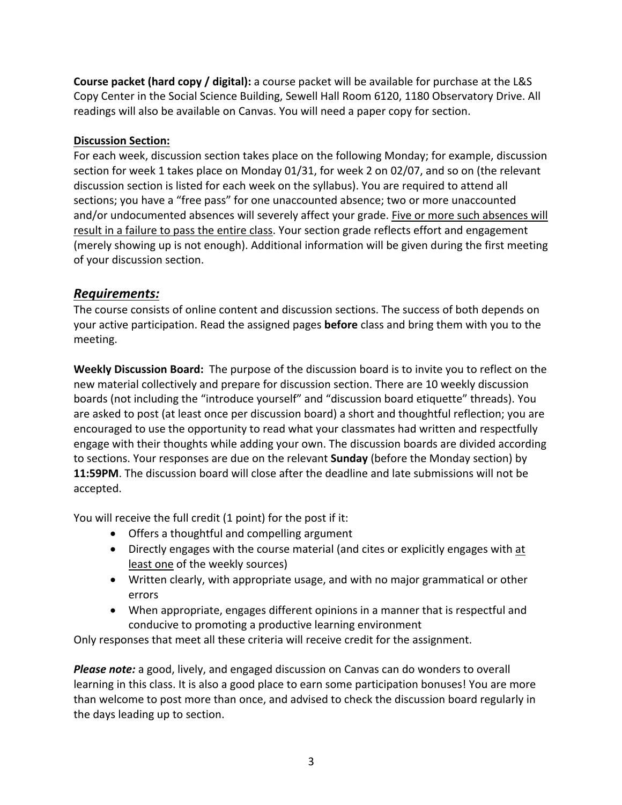**Course packet (hard copy / digital):** a course packet will be available for purchase at the L&S Copy Center in the Social Science Building, Sewell Hall Room 6120, 1180 Observatory Drive. All readings will also be available on Canvas. You will need a paper copy for section.

#### **Discussion Section:**

For each week, discussion section takes place on the following Monday; for example, discussion section for week 1 takes place on Monday 01/31, for week 2 on 02/07, and so on (the relevant discussion section is listed for each week on the syllabus). You are required to attend all sections; you have a "free pass" for one unaccounted absence; two or more unaccounted and/or undocumented absences will severely affect your grade. Five or more such absences will result in a failure to pass the entire class. Your section grade reflects effort and engagement (merely showing up is not enough). Additional information will be given during the first meeting of your discussion section.

## *Requirements:*

The course consists of online content and discussion sections. The success of both depends on your active participation. Read the assigned pages **before** class and bring them with you to the meeting.

**Weekly Discussion Board:** The purpose of the discussion board is to invite you to reflect on the new material collectively and prepare for discussion section. There are 10 weekly discussion boards (not including the "introduce yourself" and "discussion board etiquette" threads). You are asked to post (at least once per discussion board) a short and thoughtful reflection; you are encouraged to use the opportunity to read what your classmates had written and respectfully engage with their thoughts while adding your own. The discussion boards are divided according to sections. Your responses are due on the relevant **Sunday** (before the Monday section) by **11:59PM**. The discussion board will close after the deadline and late submissions will not be accepted.

You will receive the full credit (1 point) for the post if it:

- Offers a thoughtful and compelling argument
- Directly engages with the course material (and cites or explicitly engages with at least one of the weekly sources)
- Written clearly, with appropriate usage, and with no major grammatical or other errors
- When appropriate, engages different opinions in a manner that is respectful and conducive to promoting a productive learning environment

Only responses that meet all these criteria will receive credit for the assignment.

*Please note:* a good, lively, and engaged discussion on Canvas can do wonders to overall learning in this class. It is also a good place to earn some participation bonuses! You are more than welcome to post more than once, and advised to check the discussion board regularly in the days leading up to section.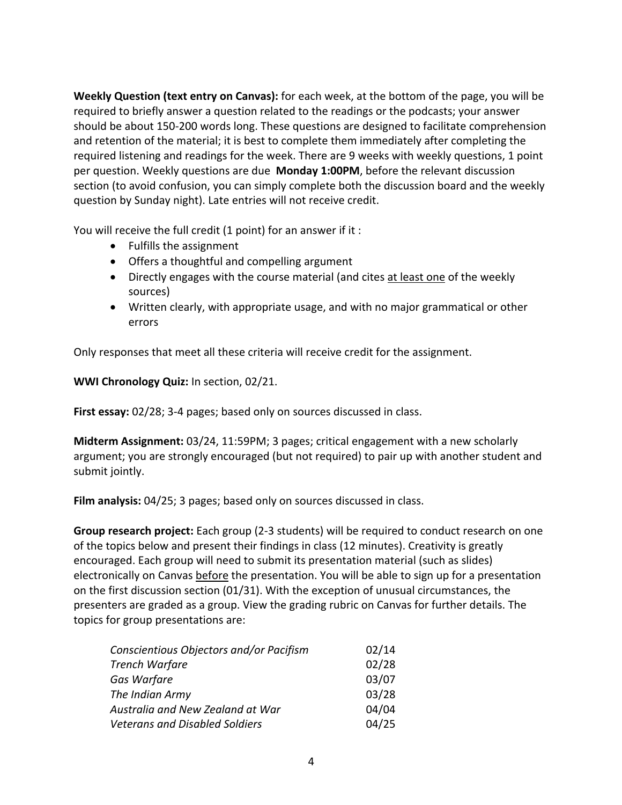**Weekly Question (text entry on Canvas):** for each week, at the bottom of the page, you will be required to briefly answer a question related to the readings or the podcasts; your answer should be about 150-200 words long. These questions are designed to facilitate comprehension and retention of the material; it is best to complete them immediately after completing the required listening and readings for the week. There are 9 weeks with weekly questions, 1 point per question. Weekly questions are due **Monday 1:00PM**, before the relevant discussion section (to avoid confusion, you can simply complete both the discussion board and the weekly question by Sunday night). Late entries will not receive credit.

You will receive the full credit (1 point) for an answer if it :

- Fulfills the assignment
- Offers a thoughtful and compelling argument
- Directly engages with the course material (and cites at least one of the weekly sources)
- Written clearly, with appropriate usage, and with no major grammatical or other errors

Only responses that meet all these criteria will receive credit for the assignment.

**WWI Chronology Quiz:** In section, 02/21.

**First essay:** 02/28; 3-4 pages; based only on sources discussed in class.

**Midterm Assignment:** 03/24, 11:59PM; 3 pages; critical engagement with a new scholarly argument; you are strongly encouraged (but not required) to pair up with another student and submit jointly.

**Film analysis:** 04/25; 3 pages; based only on sources discussed in class.

**Group research project:** Each group (2-3 students) will be required to conduct research on one of the topics below and present their findings in class (12 minutes). Creativity is greatly encouraged. Each group will need to submit its presentation material (such as slides) electronically on Canvas before the presentation. You will be able to sign up for a presentation on the first discussion section (01/31). With the exception of unusual circumstances, the presenters are graded as a group. View the grading rubric on Canvas for further details. The topics for group presentations are:

| Conscientious Objectors and/or Pacifism | 02/14 |
|-----------------------------------------|-------|
| <b>Trench Warfare</b>                   | 02/28 |
| Gas Warfare                             | 03/07 |
| The Indian Army                         | 03/28 |
| Australia and New Zealand at War        | 04/04 |
| <b>Veterans and Disabled Soldiers</b>   | 04/25 |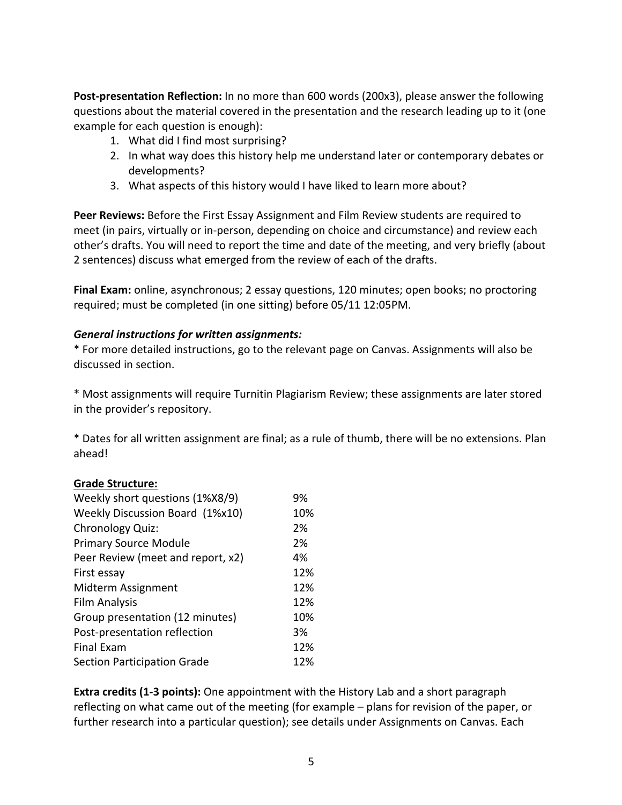**Post-presentation Reflection:** In no more than 600 words (200x3), please answer the following questions about the material covered in the presentation and the research leading up to it (one example for each question is enough):

- 1. What did I find most surprising?
- 2. In what way does this history help me understand later or contemporary debates or developments?
- 3. What aspects of this history would I have liked to learn more about?

**Peer Reviews:** Before the First Essay Assignment and Film Review students are required to meet (in pairs, virtually or in-person, depending on choice and circumstance) and review each other's drafts. You will need to report the time and date of the meeting, and very briefly (about 2 sentences) discuss what emerged from the review of each of the drafts.

**Final Exam:** online, asynchronous; 2 essay questions, 120 minutes; open books; no proctoring required; must be completed (in one sitting) before 05/11 12:05PM.

#### *General instructions for written assignments:*

\* For more detailed instructions, go to the relevant page on Canvas. Assignments will also be discussed in section.

\* Most assignments will require Turnitin Plagiarism Review; these assignments are later stored in the provider's repository.

\* Dates for all written assignment are final; as a rule of thumb, there will be no extensions. Plan ahead!

#### **Grade Structure:**

| Weekly short questions (1%X8/9)    | 9%  |
|------------------------------------|-----|
| Weekly Discussion Board (1%x10)    | 10% |
| Chronology Quiz:                   | 2%  |
| <b>Primary Source Module</b>       | 2%  |
| Peer Review (meet and report, x2)  | 4%  |
| First essay                        | 12% |
| Midterm Assignment                 | 12% |
| <b>Film Analysis</b>               | 12% |
| Group presentation (12 minutes)    | 10% |
| Post-presentation reflection       | 3%  |
| <b>Final Exam</b>                  | 12% |
| <b>Section Participation Grade</b> | 12% |

**Extra credits (1-3 points):** One appointment with the History Lab and a short paragraph reflecting on what came out of the meeting (for example – plans for revision of the paper, or further research into a particular question); see details under Assignments on Canvas. Each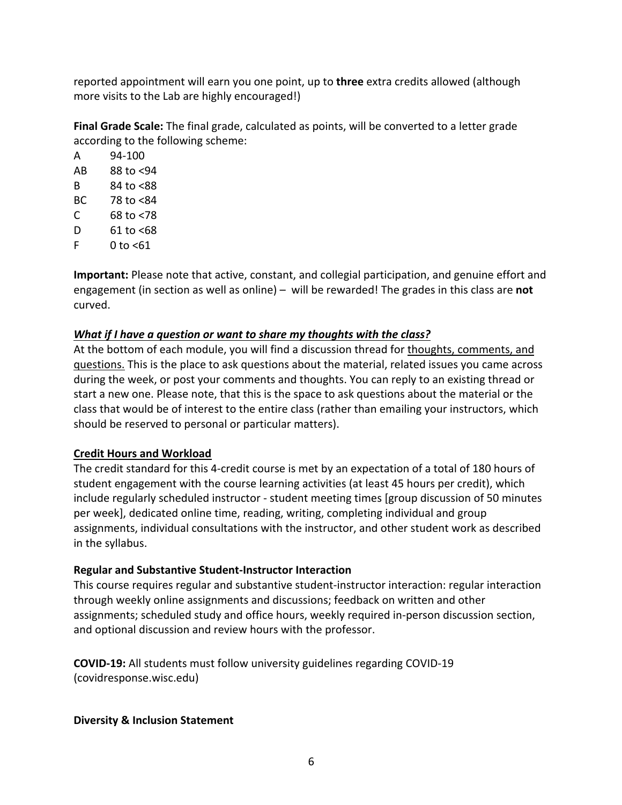reported appointment will earn you one point, up to **three** extra credits allowed (although more visits to the Lab are highly encouraged!)

**Final Grade Scale:** The final grade, calculated as points, will be converted to a letter grade according to the following scheme:

| А  | 94-100        |
|----|---------------|
| AB | 88 to <94     |
| R  | 84 to <88     |
| BС | 78 to <84     |
| C  | 68 to <78     |
| D  | 61 to <68     |
| F  | $0$ to $<$ 61 |

**Important:** Please note that active, constant, and collegial participation, and genuine effort and engagement (in section as well as online) – will be rewarded! The grades in this class are **not** curved.

#### *What if I have a question or want to share my thoughts with the class?*

At the bottom of each module, you will find a discussion thread for thoughts, comments, and questions. This is the place to ask questions about the material, related issues you came across during the week, or post your comments and thoughts. You can reply to an existing thread or start a new one. Please note, that this is the space to ask questions about the material or the class that would be of interest to the entire class (rather than emailing your instructors, which should be reserved to personal or particular matters).

#### **Credit Hours and Workload**

The credit standard for this 4-credit course is met by an expectation of a total of 180 hours of student engagement with the course learning activities (at least 45 hours per credit), which include regularly scheduled instructor - student meeting times [group discussion of 50 minutes per week], dedicated online time, reading, writing, completing individual and group assignments, individual consultations with the instructor, and other student work as described in the syllabus.

#### **Regular and Substantive Student-Instructor Interaction**

This course requires regular and substantive student-instructor interaction: regular interaction through weekly online assignments and discussions; feedback on written and other assignments; scheduled study and office hours, weekly required in-person discussion section, and optional discussion and review hours with the professor.

**COVID-19:** All students must follow university guidelines regarding COVID-19 (covidresponse.wisc.edu)

#### **Diversity & Inclusion Statement**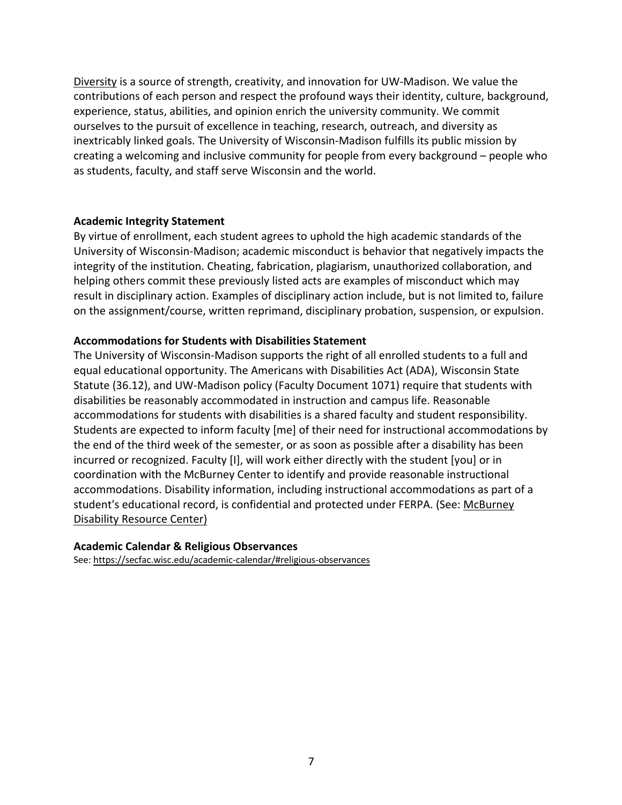Diversity is a source of strength, creativity, and innovation for UW-Madison. We value the contributions of each person and respect the profound ways their identity, culture, background, experience, status, abilities, and opinion enrich the university community. We commit ourselves to the pursuit of excellence in teaching, research, outreach, and diversity as inextricably linked goals. The University of Wisconsin-Madison fulfills its public mission by creating a welcoming and inclusive community for people from every background – people who as students, faculty, and staff serve Wisconsin and the world.

#### **Academic Integrity Statement**

By virtue of enrollment, each student agrees to uphold the high academic standards of the University of Wisconsin-Madison; academic misconduct is behavior that negatively impacts the integrity of the institution. Cheating, fabrication, plagiarism, unauthorized collaboration, and helping others commit these previously listed acts are examples of misconduct which may result in disciplinary action. Examples of disciplinary action include, but is not limited to, failure on the assignment/course, written reprimand, disciplinary probation, suspension, or expulsion.

#### **Accommodations for Students with Disabilities Statement**

The University of Wisconsin-Madison supports the right of all enrolled students to a full and equal educational opportunity. The Americans with Disabilities Act (ADA), Wisconsin State Statute (36.12), and UW-Madison policy (Faculty Document 1071) require that students with disabilities be reasonably accommodated in instruction and campus life. Reasonable accommodations for students with disabilities is a shared faculty and student responsibility. Students are expected to inform faculty [me] of their need for instructional accommodations by the end of the third week of the semester, or as soon as possible after a disability has been incurred or recognized. Faculty [I], will work either directly with the student [you] or in coordination with the McBurney Center to identify and provide reasonable instructional accommodations. Disability information, including instructional accommodations as part of a student's educational record, is confidential and protected under FERPA. (See: McBurney Disability Resource Center)

#### **Academic Calendar & Religious Observances**

See: https://secfac.wisc.edu/academic-calendar/#religious-observances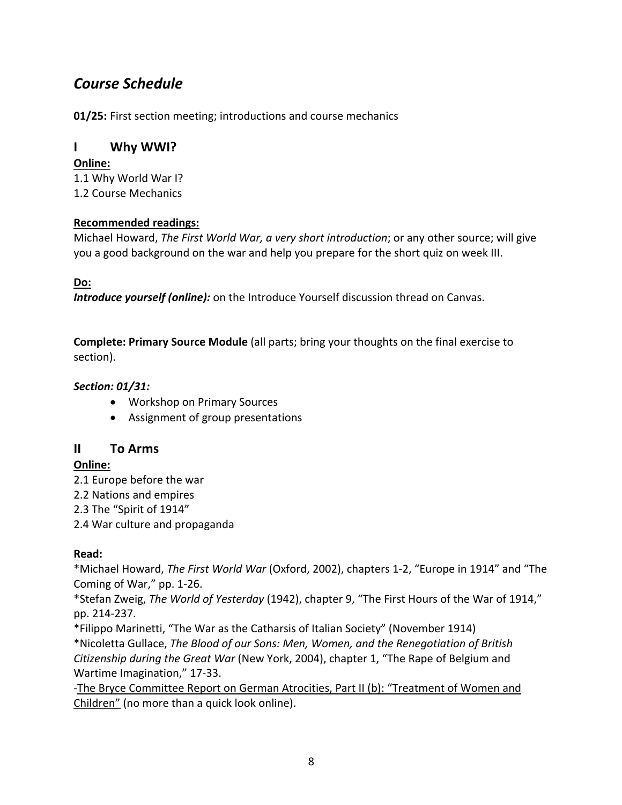# *Course Schedule*

**01/25:** First section meeting; introductions and course mechanics

## **I Why WWI?**

## **Online:**

1.1 Why World War I? 1.2 Course Mechanics

## **Recommended readings:**

Michael Howard, *The First World War, a very short introduction*; or any other source; will give you a good background on the war and help you prepare for the short quiz on week III.

## **Do:**

*Introduce yourself (online):* on the Introduce Yourself discussion thread on Canvas.

**Complete: Primary Source Module** (all parts; bring your thoughts on the final exercise to section).

## *Section: 01/31:*

- Workshop on Primary Sources
- Assignment of group presentations

## **II To Arms**

## **Online:**

- 2.1 Europe before the war
- 2.2 Nations and empires
- 2.3 The "Spirit of 1914"
- 2.4 War culture and propaganda

## **Read:**

\*Michael Howard, *The First World War* (Oxford, 2002), chapters 1-2, "Europe in 1914" and "The Coming of War," pp. 1-26.

\*Stefan Zweig, *The World of Yesterday* (1942), chapter 9, "The First Hours of the War of 1914," pp. 214-237.

\*Filippo Marinetti, "The War as the Catharsis of Italian Society" (November 1914) \*Nicoletta Gullace, *The Blood of our Sons: Men, Women, and the Renegotiation of British Citizenship during the Great War* (New York, 2004), chapter 1, "The Rape of Belgium and Wartime Imagination," 17-33.

-The Bryce Committee Report on German Atrocities, Part II (b): "Treatment of Women and Children" (no more than a quick look online).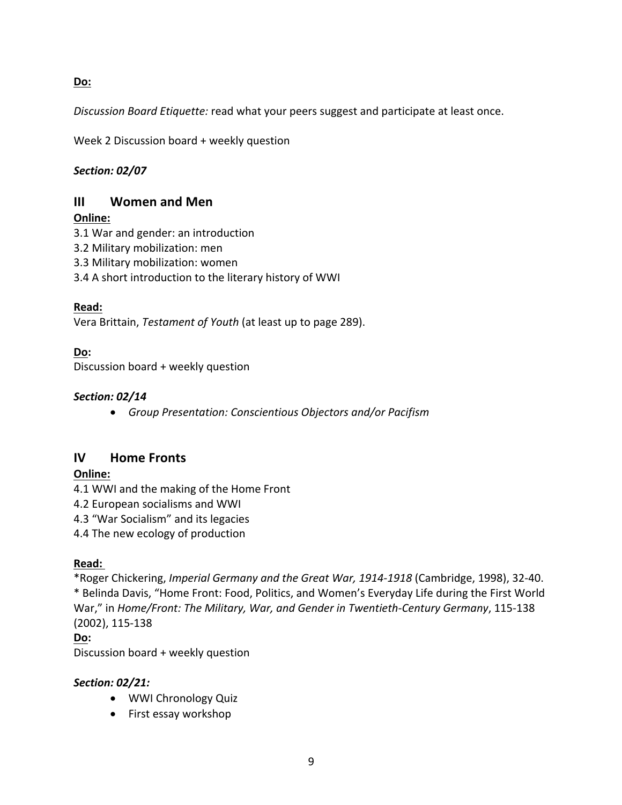**Do:**

*Discussion Board Etiquette:* read what your peers suggest and participate at least once.

Week 2 Discussion board + weekly question

## *Section: 02/07*

## **III Women and Men**

## **Online:**

- 3.1 War and gender: an introduction
- 3.2 Military mobilization: men
- 3.3 Military mobilization: women
- 3.4 A short introduction to the literary history of WWI

## **Read:**

Vera Brittain, *Testament of Youth* (at least up to page 289).

## **Do:**

Discussion board + weekly question

## *Section: 02/14*

• *Group Presentation: Conscientious Objectors and/or Pacifism* 

## **IV Home Fronts**

## **Online:**

- 4.1 WWI and the making of the Home Front
- 4.2 European socialisms and WWI
- 4.3 "War Socialism" and its legacies

4.4 The new ecology of production

## **Read:**

\*Roger Chickering, *Imperial Germany and the Great War, 1914-1918* (Cambridge, 1998), 32-40. \* Belinda Davis, "Home Front: Food, Politics, and Women's Everyday Life during the First World War," in *Home/Front: The Military, War, and Gender in Twentieth-Century Germany*, 115-138 (2002), 115-138

## **Do:**

Discussion board + weekly question

## *Section: 02/21:*

- WWI Chronology Quiz
- First essay workshop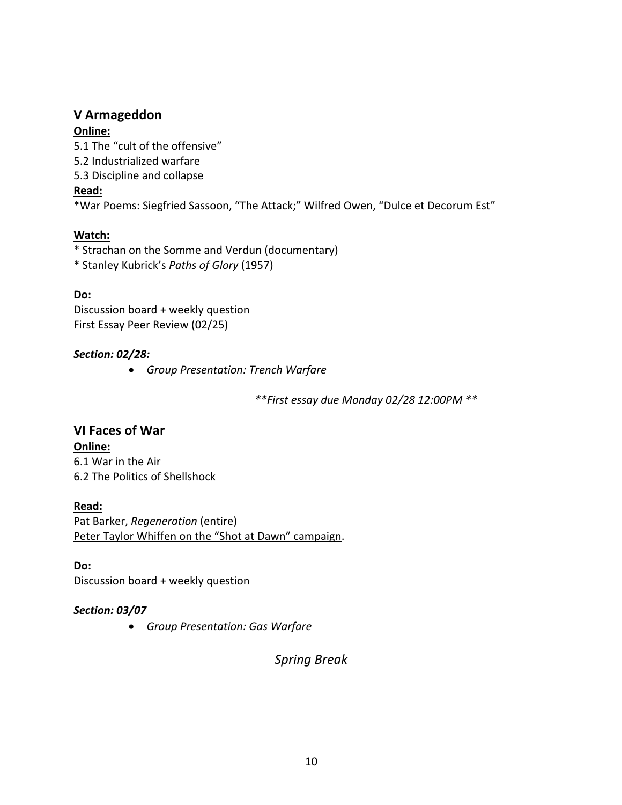### **V Armageddon**

#### **Online:**

5.1 The "cult of the offensive" 5.2 Industrialized warfare 5.3 Discipline and collapse **Read:**  \*War Poems: Siegfried Sassoon, "The Attack;" Wilfred Owen, "Dulce et Decorum Est"

#### **Watch:**

\* Strachan on the Somme and Verdun (documentary)

\* Stanley Kubrick's *Paths of Glory* (1957)

#### **Do:**

Discussion board + weekly question First Essay Peer Review (02/25)

#### *Section: 02/28:*

• *Group Presentation: Trench Warfare* 

*\*\*First essay due Monday 02/28 12:00PM \*\**

**VI Faces of War Online:** 6.1 War in the Air 6.2 The Politics of Shellshock

#### **Read:**

Pat Barker, *Regeneration* (entire) Peter Taylor Whiffen on the "Shot at Dawn" campaign.

**Do:** Discussion board + weekly question

#### *Section: 03/07*

• *Group Presentation: Gas Warfare* 

*Spring Break*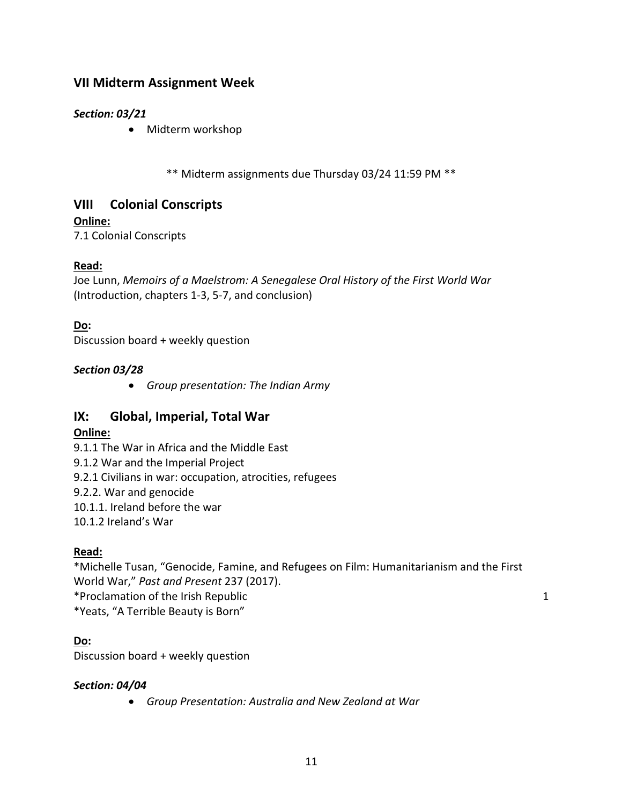## **VII Midterm Assignment Week**

## *Section: 03/21*

• Midterm workshop

\*\* Midterm assignments due Thursday 03/24 11:59 PM \*\*

## **VIII Colonial Conscripts**

### **Online:**

7.1 Colonial Conscripts

### **Read:**

Joe Lunn, *Memoirs of a Maelstrom: A Senegalese Oral History of the First World War* (Introduction, chapters 1-3, 5-7, and conclusion)

### **Do:**

Discussion board + weekly question

### *Section 03/28*

• *Group presentation: The Indian Army* 

## **IX: Global, Imperial, Total War**

## **Online:**

9.1.1 The War in Africa and the Middle East

9.1.2 War and the Imperial Project

9.2.1 Civilians in war: occupation, atrocities, refugees

9.2.2. War and genocide

10.1.1. Ireland before the war

10.1.2 Ireland's War

## **Read:**

\*Michelle Tusan, "Genocide, Famine, and Refugees on Film: Humanitarianism and the First World War," *Past and Present* 237 (2017). \*Proclamation of the Irish Republic 1 \*Yeats, "A Terrible Beauty is Born"

#### **Do:**

Discussion board + weekly question

#### *Section: 04/04*

• *Group Presentation: Australia and New Zealand at War*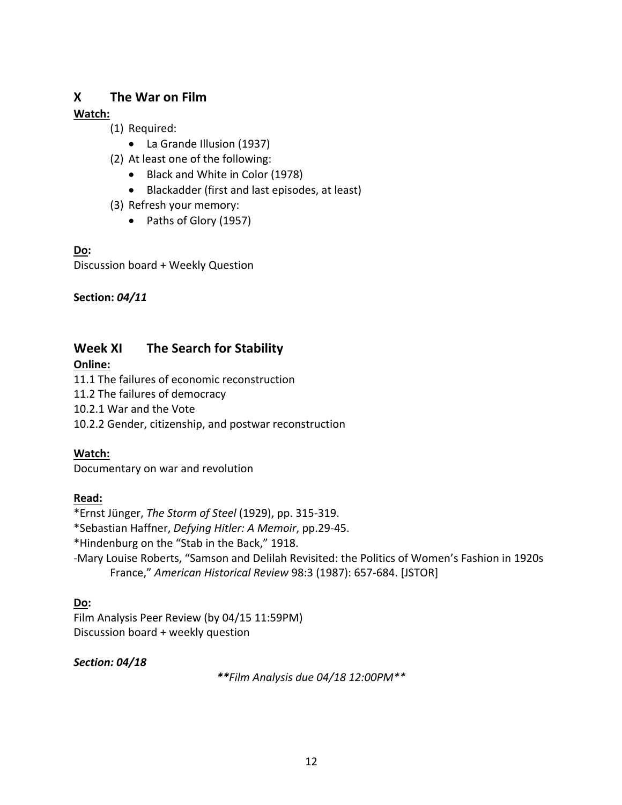## **X The War on Film**

### **Watch:**

- (1) Required:
	- La Grande Illusion (1937)
- (2) At least one of the following:
	- Black and White in Color (1978)
	- Blackadder (first and last episodes, at least)
- (3) Refresh your memory:
	- Paths of Glory (1957)

#### **Do:**

Discussion board + Weekly Question

### **Section:** *04/11*

## **Week XI The Search for Stability**

#### **Online:**

11.1 The failures of economic reconstruction

- 11.2 The failures of democracy
- 10.2.1 War and the Vote
- 10.2.2 Gender, citizenship, and postwar reconstruction

## **Watch:**

Documentary on war and revolution

## **Read:**

\*Ernst Jünger, *The Storm of Steel* (1929), pp. 315-319.

- \*Sebastian Haffner, *Defying Hitler: A Memoir*, pp.29-45.
- \*Hindenburg on the "Stab in the Back," 1918.
- -Mary Louise Roberts, "Samson and Delilah Revisited: the Politics of Women's Fashion in 1920s France," *American Historical Review* 98:3 (1987): 657-684. [JSTOR]

## **Do:**

Film Analysis Peer Review (by 04/15 11:59PM) Discussion board + weekly question

## *Section: 04/18*

*\*\*Film Analysis due 04/18 12:00PM\*\**